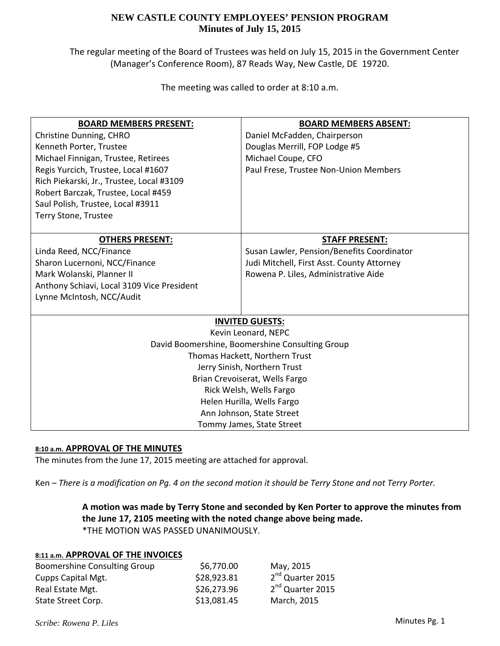The regular meeting of the Board of Trustees was held on July 15, 2015 in the Government Center (Manager's Conference Room), 87 Reads Way, New Castle, DE 19720.

The meeting was called to order at 8:10 a.m.

| <b>BOARD MEMBERS PRESENT:</b>                   | <b>BOARD MEMBERS ABSENT:</b>               |  |  |
|-------------------------------------------------|--------------------------------------------|--|--|
| Christine Dunning, CHRO                         | Daniel McFadden, Chairperson               |  |  |
| Kenneth Porter, Trustee                         | Douglas Merrill, FOP Lodge #5              |  |  |
| Michael Finnigan, Trustee, Retirees             | Michael Coupe, CFO                         |  |  |
| Regis Yurcich, Trustee, Local #1607             | Paul Frese, Trustee Non-Union Members      |  |  |
| Rich Piekarski, Jr., Trustee, Local #3109       |                                            |  |  |
| Robert Barczak, Trustee, Local #459             |                                            |  |  |
| Saul Polish, Trustee, Local #3911               |                                            |  |  |
| Terry Stone, Trustee                            |                                            |  |  |
|                                                 |                                            |  |  |
| <b>OTHERS PRESENT:</b>                          | <b>STAFF PRESENT:</b>                      |  |  |
| Linda Reed, NCC/Finance                         | Susan Lawler, Pension/Benefits Coordinator |  |  |
| Sharon Lucernoni, NCC/Finance                   | Judi Mitchell, First Asst. County Attorney |  |  |
| Mark Wolanski, Planner II                       | Rowena P. Liles, Administrative Aide       |  |  |
| Anthony Schiavi, Local 3109 Vice President      |                                            |  |  |
| Lynne McIntosh, NCC/Audit                       |                                            |  |  |
|                                                 |                                            |  |  |
| <b>INVITED GUESTS:</b>                          |                                            |  |  |
|                                                 | Kevin Leonard, NEPC                        |  |  |
| David Boomershine, Boomershine Consulting Group |                                            |  |  |
| Thomas Hackett, Northern Trust                  |                                            |  |  |
| Jerry Sinish, Northern Trust                    |                                            |  |  |
| Brian Crevoiserat, Wells Fargo                  |                                            |  |  |
| Rick Welsh, Wells Fargo                         |                                            |  |  |
| Helen Hurilla, Wells Fargo                      |                                            |  |  |
| Ann Johnson, State Street                       |                                            |  |  |
|                                                 | Tommy James, State Street                  |  |  |

### **8:10 a.m. APPROVAL OF THE MINUTES**

The minutes from the June 17, 2015 meeting are attached for approval.

Ken - There is a modification on Pg. 4 on the second motion it should be Terry Stone and not Terry Porter.

# **A motion was made by Terry Stone and seconded by Ken Porter to approve the minutes from the June 17, 2105 meeting with the noted change above being made.** \*THE MOTION WAS PASSED UNANIMOUSLY.

### **8:11 a.m. APPROVAL OF THE INVOICES**

| Boomershine Consulting Group | \$6,770.00  | May, 2015                    |
|------------------------------|-------------|------------------------------|
| Cupps Capital Mgt.           | \$28,923.81 | 2 <sup>nd</sup> Quarter 2015 |
| Real Estate Mgt.             | \$26,273.96 | 2 <sup>nd</sup> Quarter 2015 |
| State Street Corp.           | \$13,081.45 | March, 2015                  |

*Scribe: Rowena P. Liles*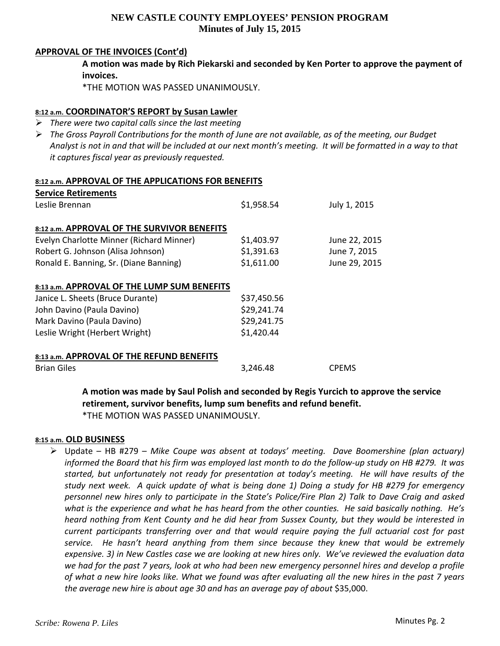### **APPROVAL OF THE INVOICES (Cont'd)**

**A motion was made by Rich Piekarski and seconded by Ken Porter to approve the payment of invoices.**

\*THE MOTION WAS PASSED UNANIMOUSLY.

### **8:12 a.m. COORDINATOR'S REPORT by Susan Lawler**

- *There were two capital calls since the last meeting*
- The Gross Payroll Contributions for the month of June are not available, as of the meeting, our Budget Analyst is not in and that will be included at our next month's meeting. It will be formatted in a way to that *it captures fiscal year as previously requested.*

### **8:12 a.m. APPROVAL OF THE APPLICATIONS FOR BENEFITS**

| <b>Service Retirements</b>                  |             |               |
|---------------------------------------------|-------------|---------------|
| Leslie Brennan                              | \$1,958.54  | July 1, 2015  |
|                                             |             |               |
| 8:12 a.m. APPROVAL OF THE SURVIVOR BENEFITS |             |               |
| Evelyn Charlotte Minner (Richard Minner)    | \$1,403.97  | June 22, 2015 |
| Robert G. Johnson (Alisa Johnson)           | \$1,391.63  | June 7, 2015  |
| Ronald E. Banning, Sr. (Diane Banning)      | \$1,611.00  | June 29, 2015 |
|                                             |             |               |
| 8:13 a.m. APPROVAL OF THE LUMP SUM BENEFITS |             |               |
| Janice L. Sheets (Bruce Durante)            | \$37,450.56 |               |
| John Davino (Paula Davino)                  | \$29,241.74 |               |
| Mark Davino (Paula Davino)                  | \$29,241.75 |               |
| Leslie Wright (Herbert Wright)              | \$1,420.44  |               |
|                                             |             |               |
| 8:13 a.m. APPROVAL OF THE REFUND BENEFITS   |             |               |
| <b>Brian Giles</b>                          | 3,246.48    | <b>CPEMS</b>  |

**A motion was made by Saul Polish and seconded by Regis Yurcich to approve the service retirement, survivor benefits, lump sum benefits and refund benefit.** \*THE MOTION WAS PASSED UNANIMOUSLY.

### **8:15 a.m. OLD BUSINESS**

 Update – HB #279 – *Mike Coupe was absent at todays' meeting. Dave Boomershine (plan actuary)* informed the Board that his firm was employed last month to do the follow-up study on HB #279. It was *started, but unfortunately not ready for presentation at today's meeting. He will have results of the* study next week. A quick update of what is being done 1) Doing a study for HB #279 for emergency personnel new hires only to participate in the State's Police/Fire Plan 2) Talk to Dave Craig and asked what is the experience and what he has heard from the other counties. He said basically nothing. He's *heard nothing from Kent County and he did hear from Sussex County, but they would be interested in current participants transferring over and that would require paying the full actuarial cost for past service. He hasn't heard anything from them since because they knew that would be extremely* expensive. 3) in New Castles case we are looking at new hires only. We've reviewed the evaluation data we had for the past 7 years, look at who had been new emergency personnel hires and develop a profile of what a new hire looks like. What we found was after evaluating all the new hires in the past 7 years *the average new hire is about age 30 and has an average pay of about* \$35,000.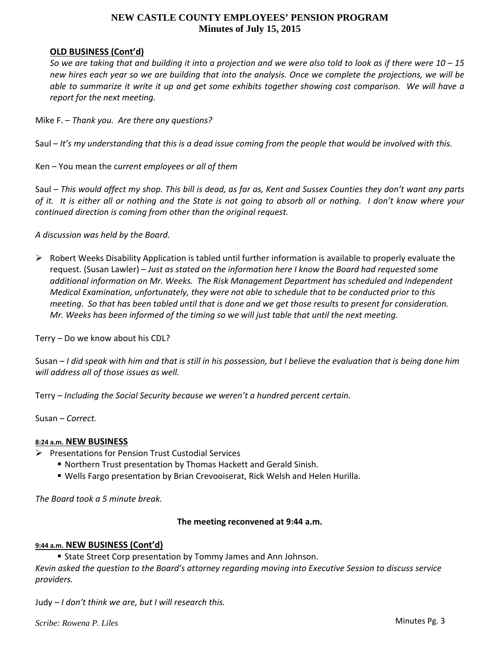### **OLD BUSINESS (Cont'd)**

So we are taking that and building it into a projection and we were also told to look as if there were  $10 - 15$ new hires each year so we are building that into the analysis. Once we complete the projections, we will be able to summarize it write it up and get some exhibits together showing cost comparison. We will have a *report for the next meeting.*

- Mike F. *Thank you. Are there any questions?*
- Saul  $-$  It's my understanding that this is a dead issue coming from the people that would be involved with this.

Ken – You mean the c*urrent employees or all of them*

Saul – This would affect my shop. This bill is dead, as far as, Kent and Sussex Counties they don't want any parts of it. It is either all or nothing and the State is not going to absorb all or nothing. I don't know where your *continued direction is coming from other than the original request.*

*A discussion was held by the Board.*

 $\triangleright$  Robert Weeks Disability Application is tabled until further information is available to properly evaluate the request. (Susan Lawler) – *Just as stated on the information here I know the Board had requested some additional information on Mr. Weeks. The Risk Management Department has scheduled and Independent Medical Examination, unfortunately, they were not able to schedule that to be conducted prior to this* meeting. So that has been tabled until that is done and we get those results to present for consideration. *Mr. Weeks has been informed of the timing so we will just table that until the next meeting.*

Terry *–* Do we know about his CDL?

Susan - I did speak with him and that is still in his possession, but I believe the evaluation that is being done him *will address all of those issues as well.*

Terry – *Including the Social Security because we weren't a hundred percent certain.*

Susan – *Correct.*

### **8:24 a.m. NEW BUSINESS**

- $\triangleright$  Presentations for Pension Trust Custodial Services
	- Northern Trust presentation by Thomas Hackett and Gerald Sinish.
	- Wells Fargo presentation by Brian Crevooiserat, Rick Welsh and Helen Hurilla.

*The Board took a 5 minute break.*

### **The meeting reconvened at 9:44 a.m.**

### **9:44 a.m. NEW BUSINESS (Cont'd)**

**State Street Corp presentation by Tommy James and Ann Johnson.** *Kevin asked the question to the Board's attorney regarding moving into Executive Session to discuss service providers.*

Judy *– I don't think we are, but I will research this.*